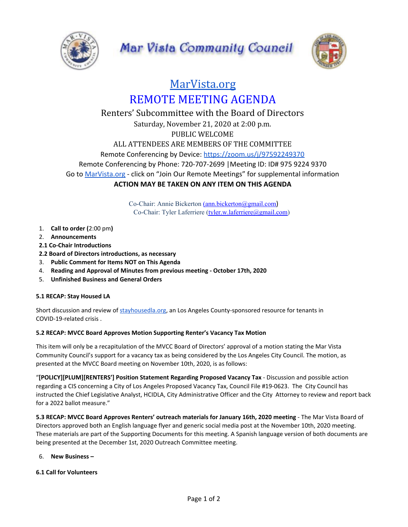



# [MarVista.org](https://www.marvista.org/) REMOTE MEETING AGENDA

# Renters' Subcommittee with the Board of Directors Saturday, November 21, 2020 at 2:00 p.m. PUBLIC WELCOME ALL ATTENDEES ARE MEMBERS OF THE COMMITTEE Remote Conferencing by Device: <https://zoom.us/j/97592249370> Remote Conferencing by Phone: 720-707-2699 |Meeting ID: ID# 975 9224 9370 Go to [MarVista.org](https://www.marvista.org/) - click on "Join Our Remote Meetings" for supplemental information **ACTION MAY BE TAKEN ON ANY ITEM ON THIS AGENDA**

Co-Chair: Annie Bickerton [\(ann.bickerton@gmail.com](mailto:ann.bickerton@gmail.com)) Co-Chair: Tyler Laferriere ([tyler.w.laferriere@gmail.com\)](mailto:tyler.w.laferriere@gmail.com)

- 1. **Call to order (**2:00 pm**)**
- 2. **Announcements**
- **2.1 Co-Chair Introductions**
- **2.2 Board of Directors introductions, as necessary**
- 3. **Public Comment for Items NOT on This Agenda**
- 4. **Reading and Approval of Minutes from previous meeting - October 17th, 2020**
- 5. **Unfinished Business and General Orders**

## **5.1 RECAP: Stay Housed LA**

Short discussion and review of [stayhousedla.org](https://www.stayhousedla.org/), an Los Angeles County-sponsored resource for tenants in COVID-19-related crisis .

#### **5.2 RECAP: MVCC Board Approves Motion Supporting Renter's Vacancy Tax Motion**

This item will only be a recapitulation of the MVCC Board of Directors' approval of a motion stating the Mar Vista Community Council's support for a vacancy tax as being considered by the Los Angeles City Council. The motion, as presented at the MVCC Board meeting on November 10th, 2020, is as follows:

"**[POLICY][PLUM][RENTERS'] Position Statement Regarding Proposed Vacancy Tax** - Discussion and possible action regarding a CIS concerning a City of Los Angeles Proposed Vacancy Tax, Council File #19-0623. The City Council has instructed the Chief Legislative Analyst, HCIDLA, City Administrative Officer and the City Attorney to review and report back for a 2022 ballot measure."

**5.3 RECAP: MVCC Board Approves Renters' outreach materials for January 16th, 2020 meeting** - The Mar Vista Board of Directors approved both an English language flyer and generic social media post at the November 10th, 2020 meeting. These materials are part of the Supporting Documents for this meeting. A Spanish language version of both documents are being presented at the December 1st, 2020 Outreach Committee meeting.

#### 6. **New Business –**

#### **6.1 Call for Volunteers**